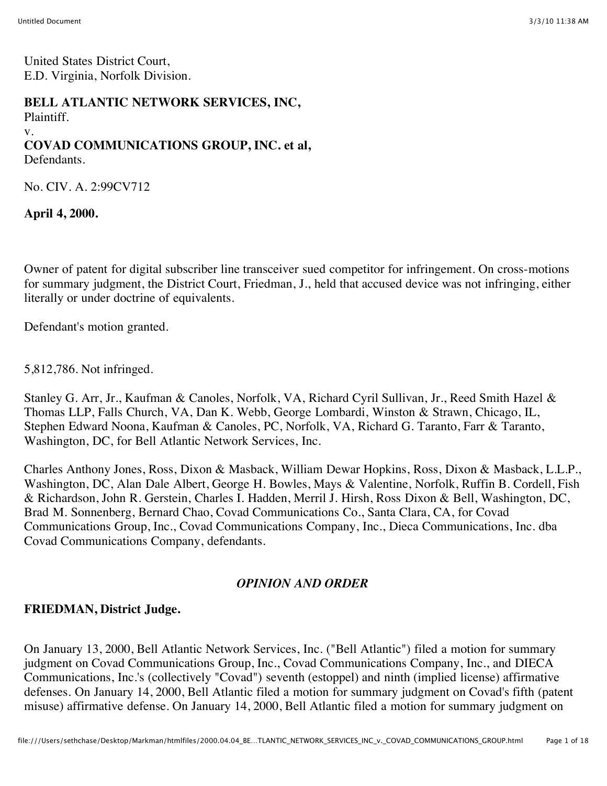United States District Court, E.D. Virginia, Norfolk Division.

#### **BELL ATLANTIC NETWORK SERVICES, INC,**

Plaintiff.

#### v.

# **COVAD COMMUNICATIONS GROUP, INC. et al,**

Defendants.

No. CIV. A. 2:99CV712

**April 4, 2000.**

Owner of patent for digital subscriber line transceiver sued competitor for infringement. On cross-motions for summary judgment, the District Court, Friedman, J., held that accused device was not infringing, either literally or under doctrine of equivalents.

Defendant's motion granted.

5,812,786. Not infringed.

Stanley G. Arr, Jr., Kaufman & Canoles, Norfolk, VA, Richard Cyril Sullivan, Jr., Reed Smith Hazel & Thomas LLP, Falls Church, VA, Dan K. Webb, George Lombardi, Winston & Strawn, Chicago, IL, Stephen Edward Noona, Kaufman & Canoles, PC, Norfolk, VA, Richard G. Taranto, Farr & Taranto, Washington, DC, for Bell Atlantic Network Services, Inc.

Charles Anthony Jones, Ross, Dixon & Masback, William Dewar Hopkins, Ross, Dixon & Masback, L.L.P., Washington, DC, Alan Dale Albert, George H. Bowles, Mays & Valentine, Norfolk, Ruffin B. Cordell, Fish & Richardson, John R. Gerstein, Charles I. Hadden, Merril J. Hirsh, Ross Dixon & Bell, Washington, DC, Brad M. Sonnenberg, Bernard Chao, Covad Communications Co., Santa Clara, CA, for Covad Communications Group, Inc., Covad Communications Company, Inc., Dieca Communications, Inc. dba Covad Communications Company, defendants.

# *OPINION AND ORDER*

# **FRIEDMAN, District Judge.**

On January 13, 2000, Bell Atlantic Network Services, Inc. ("Bell Atlantic") filed a motion for summary judgment on Covad Communications Group, Inc., Covad Communications Company, Inc., and DIECA Communications, Inc.'s (collectively "Covad") seventh (estoppel) and ninth (implied license) affirmative defenses. On January 14, 2000, Bell Atlantic filed a motion for summary judgment on Covad's fifth (patent misuse) affirmative defense. On January 14, 2000, Bell Atlantic filed a motion for summary judgment on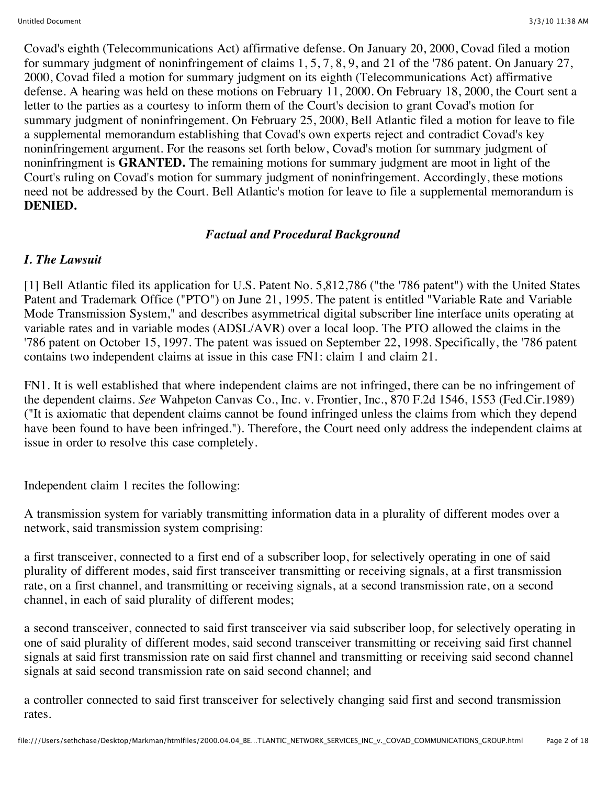Covad's eighth (Telecommunications Act) affirmative defense. On January 20, 2000, Covad filed a motion for summary judgment of noninfringement of claims 1, 5, 7, 8, 9, and 21 of the '786 patent. On January 27, 2000, Covad filed a motion for summary judgment on its eighth (Telecommunications Act) affirmative defense. A hearing was held on these motions on February 11, 2000. On February 18, 2000, the Court sent a letter to the parties as a courtesy to inform them of the Court's decision to grant Covad's motion for summary judgment of noninfringement. On February 25, 2000, Bell Atlantic filed a motion for leave to file a supplemental memorandum establishing that Covad's own experts reject and contradict Covad's key noninfringement argument. For the reasons set forth below, Covad's motion for summary judgment of noninfringment is **GRANTED.** The remaining motions for summary judgment are moot in light of the Court's ruling on Covad's motion for summary judgment of noninfringement. Accordingly, these motions need not be addressed by the Court. Bell Atlantic's motion for leave to file a supplemental memorandum is **DENIED.**

# *Factual and Procedural Background*

# *I. The Lawsuit*

[1] Bell Atlantic filed its application for U.S. Patent No. 5,812,786 ("the '786 patent") with the United States Patent and Trademark Office ("PTO") on June 21, 1995. The patent is entitled "Variable Rate and Variable Mode Transmission System," and describes asymmetrical digital subscriber line interface units operating at variable rates and in variable modes (ADSL/AVR) over a local loop. The PTO allowed the claims in the '786 patent on October 15, 1997. The patent was issued on September 22, 1998. Specifically, the '786 patent contains two independent claims at issue in this case FN1: claim 1 and claim 21.

FN1. It is well established that where independent claims are not infringed, there can be no infringement of the dependent claims. *See* Wahpeton Canvas Co., Inc. v. Frontier, Inc., 870 F.2d 1546, 1553 (Fed.Cir.1989) ("It is axiomatic that dependent claims cannot be found infringed unless the claims from which they depend have been found to have been infringed."). Therefore, the Court need only address the independent claims at issue in order to resolve this case completely.

Independent claim 1 recites the following:

A transmission system for variably transmitting information data in a plurality of different modes over a network, said transmission system comprising:

a first transceiver, connected to a first end of a subscriber loop, for selectively operating in one of said plurality of different modes, said first transceiver transmitting or receiving signals, at a first transmission rate, on a first channel, and transmitting or receiving signals, at a second transmission rate, on a second channel, in each of said plurality of different modes;

a second transceiver, connected to said first transceiver via said subscriber loop, for selectively operating in one of said plurality of different modes, said second transceiver transmitting or receiving said first channel signals at said first transmission rate on said first channel and transmitting or receiving said second channel signals at said second transmission rate on said second channel; and

a controller connected to said first transceiver for selectively changing said first and second transmission rates.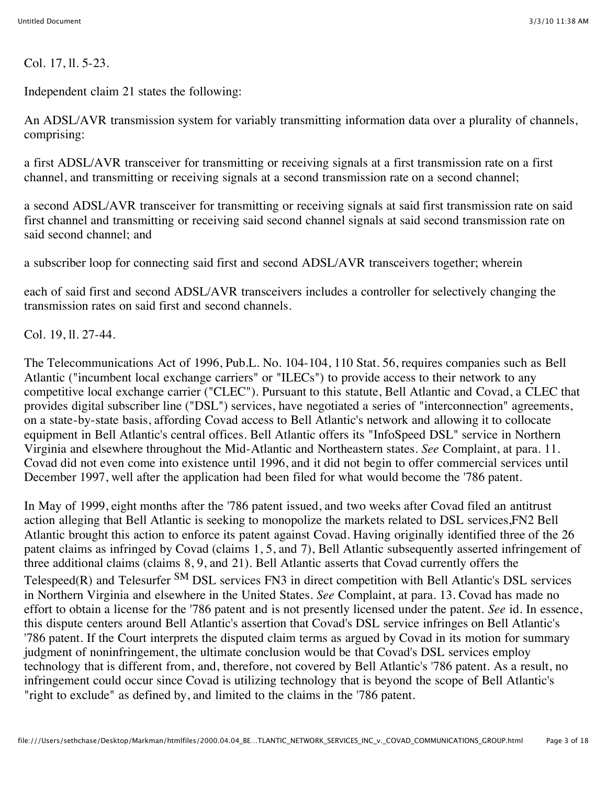Col. 17, ll. 5-23.

Independent claim 21 states the following:

An ADSL/AVR transmission system for variably transmitting information data over a plurality of channels, comprising:

a first ADSL/AVR transceiver for transmitting or receiving signals at a first transmission rate on a first channel, and transmitting or receiving signals at a second transmission rate on a second channel;

a second ADSL/AVR transceiver for transmitting or receiving signals at said first transmission rate on said first channel and transmitting or receiving said second channel signals at said second transmission rate on said second channel; and

a subscriber loop for connecting said first and second ADSL/AVR transceivers together; wherein

each of said first and second ADSL/AVR transceivers includes a controller for selectively changing the transmission rates on said first and second channels.

Col. 19, ll. 27-44.

The Telecommunications Act of 1996, Pub.L. No. 104-104, 110 Stat. 56, requires companies such as Bell Atlantic ("incumbent local exchange carriers" or "ILECs") to provide access to their network to any competitive local exchange carrier ("CLEC"). Pursuant to this statute, Bell Atlantic and Covad, a CLEC that provides digital subscriber line ("DSL") services, have negotiated a series of "interconnection" agreements, on a state-by-state basis, affording Covad access to Bell Atlantic's network and allowing it to collocate equipment in Bell Atlantic's central offices. Bell Atlantic offers its "InfoSpeed DSL" service in Northern Virginia and elsewhere throughout the Mid-Atlantic and Northeastern states. *See* Complaint, at para. 11. Covad did not even come into existence until 1996, and it did not begin to offer commercial services until December 1997, well after the application had been filed for what would become the '786 patent.

In May of 1999, eight months after the '786 patent issued, and two weeks after Covad filed an antitrust action alleging that Bell Atlantic is seeking to monopolize the markets related to DSL services,FN2 Bell Atlantic brought this action to enforce its patent against Covad. Having originally identified three of the 26 patent claims as infringed by Covad (claims 1, 5, and 7), Bell Atlantic subsequently asserted infringement of three additional claims (claims 8, 9, and 21). Bell Atlantic asserts that Covad currently offers the Telespeed(R) and Telesurfer <sup>SM</sup> DSL services FN3 in direct competition with Bell Atlantic's DSL services in Northern Virginia and elsewhere in the United States. *See* Complaint, at para. 13. Covad has made no effort to obtain a license for the '786 patent and is not presently licensed under the patent. *See* id. In essence, this dispute centers around Bell Atlantic's assertion that Covad's DSL service infringes on Bell Atlantic's '786 patent. If the Court interprets the disputed claim terms as argued by Covad in its motion for summary judgment of noninfringement, the ultimate conclusion would be that Covad's DSL services employ technology that is different from, and, therefore, not covered by Bell Atlantic's '786 patent. As a result, no infringement could occur since Covad is utilizing technology that is beyond the scope of Bell Atlantic's "right to exclude" as defined by, and limited to the claims in the '786 patent.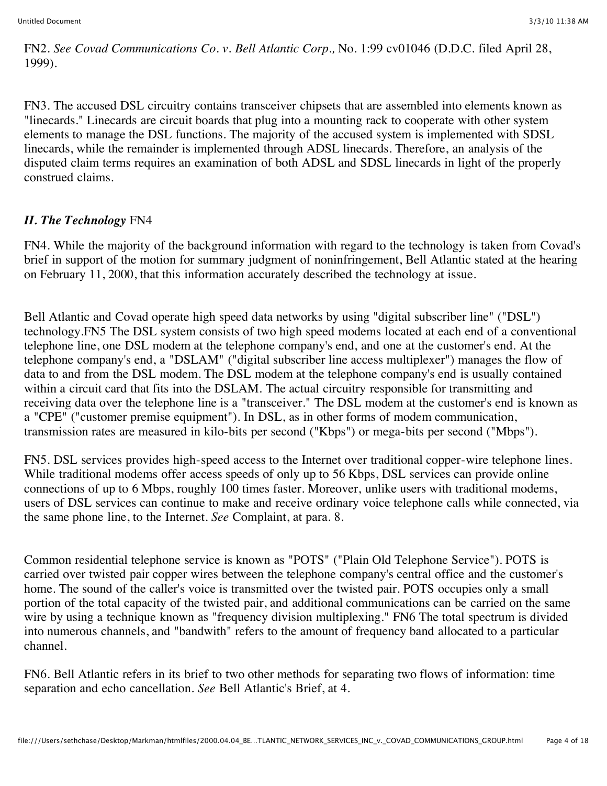FN2. *See Covad Communications Co. v. Bell Atlantic Corp.,* No. 1:99 cv01046 (D.D.C. filed April 28, 1999).

FN3. The accused DSL circuitry contains transceiver chipsets that are assembled into elements known as "linecards." Linecards are circuit boards that plug into a mounting rack to cooperate with other system elements to manage the DSL functions. The majority of the accused system is implemented with SDSL linecards, while the remainder is implemented through ADSL linecards. Therefore, an analysis of the disputed claim terms requires an examination of both ADSL and SDSL linecards in light of the properly construed claims.

# *II. The Technology* FN4

FN4. While the majority of the background information with regard to the technology is taken from Covad's brief in support of the motion for summary judgment of noninfringement, Bell Atlantic stated at the hearing on February 11, 2000, that this information accurately described the technology at issue.

Bell Atlantic and Covad operate high speed data networks by using "digital subscriber line" ("DSL") technology.FN5 The DSL system consists of two high speed modems located at each end of a conventional telephone line, one DSL modem at the telephone company's end, and one at the customer's end. At the telephone company's end, a "DSLAM" ("digital subscriber line access multiplexer") manages the flow of data to and from the DSL modem. The DSL modem at the telephone company's end is usually contained within a circuit card that fits into the DSLAM. The actual circuitry responsible for transmitting and receiving data over the telephone line is a "transceiver." The DSL modem at the customer's end is known as a "CPE" ("customer premise equipment"). In DSL, as in other forms of modem communication, transmission rates are measured in kilo-bits per second ("Kbps") or mega-bits per second ("Mbps").

FN5. DSL services provides high-speed access to the Internet over traditional copper-wire telephone lines. While traditional modems offer access speeds of only up to 56 Kbps, DSL services can provide online connections of up to 6 Mbps, roughly 100 times faster. Moreover, unlike users with traditional modems, users of DSL services can continue to make and receive ordinary voice telephone calls while connected, via the same phone line, to the Internet. *See* Complaint, at para. 8.

Common residential telephone service is known as "POTS" ("Plain Old Telephone Service"). POTS is carried over twisted pair copper wires between the telephone company's central office and the customer's home. The sound of the caller's voice is transmitted over the twisted pair. POTS occupies only a small portion of the total capacity of the twisted pair, and additional communications can be carried on the same wire by using a technique known as "frequency division multiplexing." FN6 The total spectrum is divided into numerous channels, and "bandwith" refers to the amount of frequency band allocated to a particular channel.

FN6. Bell Atlantic refers in its brief to two other methods for separating two flows of information: time separation and echo cancellation. *See* Bell Atlantic's Brief, at 4.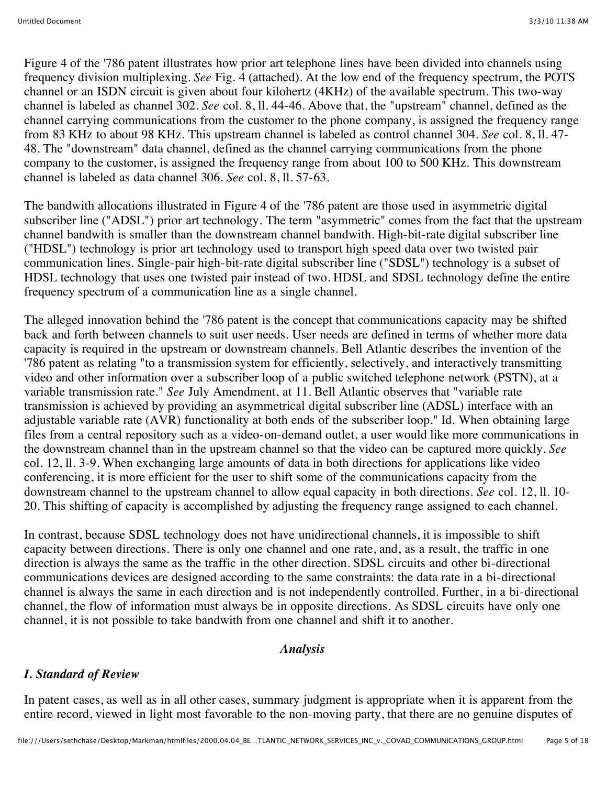Figure 4 of the '786 patent illustrates how prior art telephone lines have been divided into channels using frequency division multiplexing. *See* Fig. 4 (attached). At the low end of the frequency spectrum, the POTS channel or an ISDN circuit is given about four kilohertz (4KHz) of the available spectrum. This two-way channel is labeled as channel 302. *See* col. 8, ll. 44-46. Above that, the "upstream" channel, defined as the channel carrying communications from the customer to the phone company, is assigned the frequency range from 83 KHz to about 98 KHz. This upstream channel is labeled as control channel 304. *See* col. 8, ll. 47- 48. The "downstream" data channel, defined as the channel carrying communications from the phone company to the customer, is assigned the frequency range from about 100 to 500 KHz. This downstream channel is labeled as data channel 306. *See* col. 8, ll. 57-63.

The bandwith allocations illustrated in Figure 4 of the '786 patent are those used in asymmetric digital subscriber line ("ADSL") prior art technology. The term "asymmetric" comes from the fact that the upstream channel bandwith is smaller than the downstream channel bandwith. High-bit-rate digital subscriber line ("HDSL") technology is prior art technology used to transport high speed data over two twisted pair communication lines. Single-pair high-bit-rate digital subscriber line ("SDSL") technology is a subset of HDSL technology that uses one twisted pair instead of two. HDSL and SDSL technology define the entire frequency spectrum of a communication line as a single channel.

The alleged innovation behind the '786 patent is the concept that communications capacity may be shifted back and forth between channels to suit user needs. User needs are defined in terms of whether more data capacity is required in the upstream or downstream channels. Bell Atlantic describes the invention of the '786 patent as relating "to a transmission system for efficiently, selectively, and interactively transmitting video and other information over a subscriber loop of a public switched telephone network (PSTN), at a variable transmission rate." *See* July Amendment, at 11. Bell Atlantic observes that "variable rate transmission is achieved by providing an asymmetrical digital subscriber line (ADSL) interface with an adjustable variable rate (AVR) functionality at both ends of the subscriber loop." Id. When obtaining large files from a central repository such as a video-on-demand outlet, a user would like more communications in the downstream channel than in the upstream channel so that the video can be captured more quickly. *See* col. 12, ll. 3-9. When exchanging large amounts of data in both directions for applications like video conferencing, it is more efficient for the user to shift some of the communications capacity from the downstream channel to the upstream channel to allow equal capacity in both directions. *See* col. 12, ll. 10- 20. This shifting of capacity is accomplished by adjusting the frequency range assigned to each channel.

In contrast, because SDSL technology does not have unidirectional channels, it is impossible to shift capacity between directions. There is only one channel and one rate, and, as a result, the traffic in one direction is always the same as the traffic in the other direction. SDSL circuits and other bi-directional communications devices are designed according to the same constraints: the data rate in a bi-directional channel is always the same in each direction and is not independently controlled. Further, in a bi-directional channel, the flow of information must always be in opposite directions. As SDSL circuits have only one channel, it is not possible to take bandwith from one channel and shift it to another.

#### *Analysis*

#### *I. Standard of Review*

In patent cases, as well as in all other cases, summary judgment is appropriate when it is apparent from the entire record, viewed in light most favorable to the non-moving party, that there are no genuine disputes of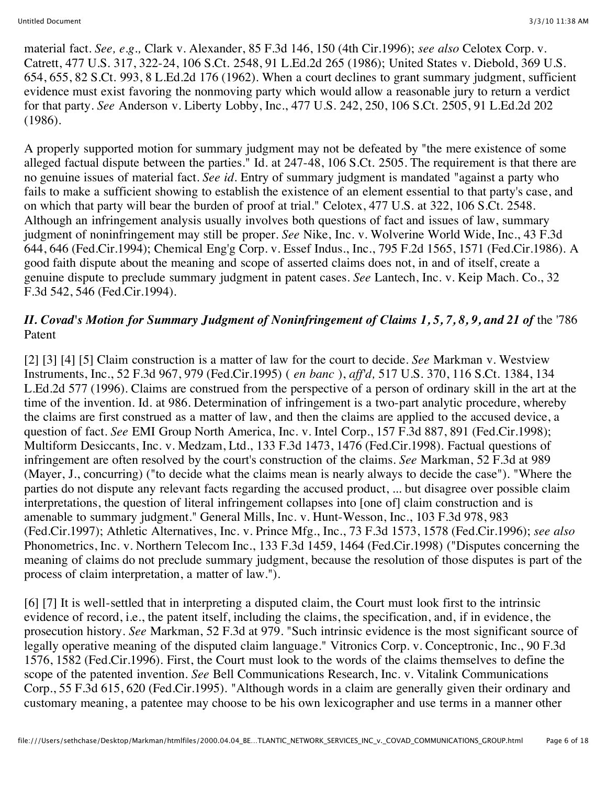material fact. *See, e.g.,* Clark v. Alexander, 85 F.3d 146, 150 (4th Cir.1996); *see also* Celotex Corp. v. Catrett, 477 U.S. 317, 322-24, 106 S.Ct. 2548, 91 L.Ed.2d 265 (1986); United States v. Diebold, 369 U.S. 654, 655, 82 S.Ct. 993, 8 L.Ed.2d 176 (1962). When a court declines to grant summary judgment, sufficient evidence must exist favoring the nonmoving party which would allow a reasonable jury to return a verdict for that party. *See* Anderson v. Liberty Lobby, Inc., 477 U.S. 242, 250, 106 S.Ct. 2505, 91 L.Ed.2d 202 (1986).

A properly supported motion for summary judgment may not be defeated by "the mere existence of some alleged factual dispute between the parties." Id. at 247-48, 106 S.Ct. 2505. The requirement is that there are no genuine issues of material fact. *See id.* Entry of summary judgment is mandated "against a party who fails to make a sufficient showing to establish the existence of an element essential to that party's case, and on which that party will bear the burden of proof at trial." Celotex, 477 U.S. at 322, 106 S.Ct. 2548. Although an infringement analysis usually involves both questions of fact and issues of law, summary judgment of noninfringement may still be proper. *See* Nike, Inc. v. Wolverine World Wide, Inc., 43 F.3d 644, 646 (Fed.Cir.1994); Chemical Eng'g Corp. v. Essef Indus., Inc., 795 F.2d 1565, 1571 (Fed.Cir.1986). A good faith dispute about the meaning and scope of asserted claims does not, in and of itself, create a genuine dispute to preclude summary judgment in patent cases. *See* Lantech, Inc. v. Keip Mach. Co., 32 F.3d 542, 546 (Fed.Cir.1994).

#### *II. Covad's Motion for Summary Judgment of Noninfringement of Claims 1, 5, 7, 8, 9, and 21 of the '786* Patent

[2] [3] [4] [5] Claim construction is a matter of law for the court to decide. *See* Markman v. Westview Instruments, Inc., 52 F.3d 967, 979 (Fed.Cir.1995) ( *en banc* ), *aff'd,* 517 U.S. 370, 116 S.Ct. 1384, 134 L.Ed.2d 577 (1996). Claims are construed from the perspective of a person of ordinary skill in the art at the time of the invention. Id. at 986. Determination of infringement is a two-part analytic procedure, whereby the claims are first construed as a matter of law, and then the claims are applied to the accused device, a question of fact. *See* EMI Group North America, Inc. v. Intel Corp., 157 F.3d 887, 891 (Fed.Cir.1998); Multiform Desiccants, Inc. v. Medzam, Ltd., 133 F.3d 1473, 1476 (Fed.Cir.1998). Factual questions of infringement are often resolved by the court's construction of the claims. *See* Markman, 52 F.3d at 989 (Mayer, J., concurring) ("to decide what the claims mean is nearly always to decide the case"). "Where the parties do not dispute any relevant facts regarding the accused product, ... but disagree over possible claim interpretations, the question of literal infringement collapses into [one of] claim construction and is amenable to summary judgment." General Mills, Inc. v. Hunt-Wesson, Inc., 103 F.3d 978, 983 (Fed.Cir.1997); Athletic Alternatives, Inc. v. Prince Mfg., Inc., 73 F.3d 1573, 1578 (Fed.Cir.1996); *see also* Phonometrics, Inc. v. Northern Telecom Inc., 133 F.3d 1459, 1464 (Fed.Cir.1998) ("Disputes concerning the meaning of claims do not preclude summary judgment, because the resolution of those disputes is part of the process of claim interpretation, a matter of law.").

[6] [7] It is well-settled that in interpreting a disputed claim, the Court must look first to the intrinsic evidence of record, i.e., the patent itself, including the claims, the specification, and, if in evidence, the prosecution history. *See* Markman, 52 F.3d at 979. "Such intrinsic evidence is the most significant source of legally operative meaning of the disputed claim language." Vitronics Corp. v. Conceptronic, Inc., 90 F.3d 1576, 1582 (Fed.Cir.1996). First, the Court must look to the words of the claims themselves to define the scope of the patented invention. *See* Bell Communications Research, Inc. v. Vitalink Communications Corp., 55 F.3d 615, 620 (Fed.Cir.1995). "Although words in a claim are generally given their ordinary and customary meaning, a patentee may choose to be his own lexicographer and use terms in a manner other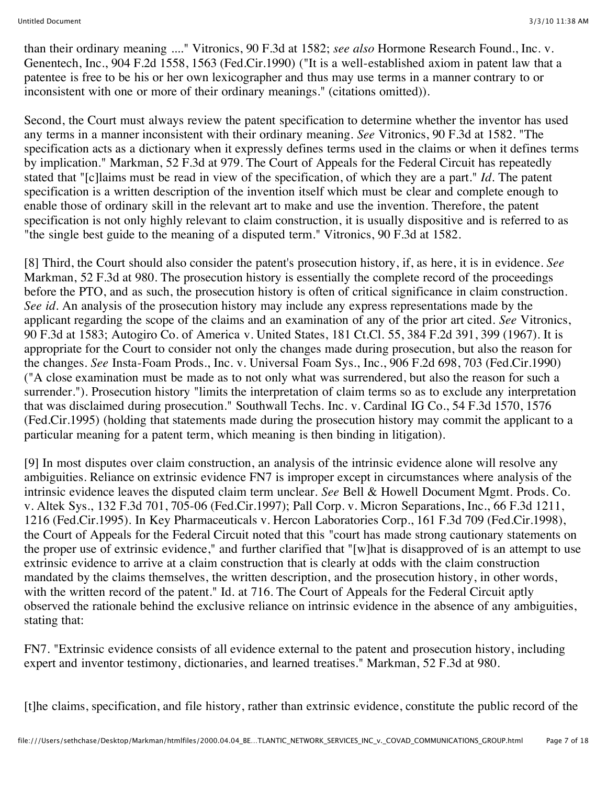than their ordinary meaning ...." Vitronics, 90 F.3d at 1582; *see also* Hormone Research Found., Inc. v. Genentech, Inc., 904 F.2d 1558, 1563 (Fed.Cir.1990) ("It is a well-established axiom in patent law that a patentee is free to be his or her own lexicographer and thus may use terms in a manner contrary to or inconsistent with one or more of their ordinary meanings." (citations omitted)).

Second, the Court must always review the patent specification to determine whether the inventor has used any terms in a manner inconsistent with their ordinary meaning. *See* Vitronics, 90 F.3d at 1582. "The specification acts as a dictionary when it expressly defines terms used in the claims or when it defines terms by implication." Markman, 52 F.3d at 979. The Court of Appeals for the Federal Circuit has repeatedly stated that "[c]laims must be read in view of the specification, of which they are a part." *Id.* The patent specification is a written description of the invention itself which must be clear and complete enough to enable those of ordinary skill in the relevant art to make and use the invention. Therefore, the patent specification is not only highly relevant to claim construction, it is usually dispositive and is referred to as "the single best guide to the meaning of a disputed term." Vitronics, 90 F.3d at 1582.

[8] Third, the Court should also consider the patent's prosecution history, if, as here, it is in evidence. *See* Markman, 52 F.3d at 980. The prosecution history is essentially the complete record of the proceedings before the PTO, and as such, the prosecution history is often of critical significance in claim construction. *See id.* An analysis of the prosecution history may include any express representations made by the applicant regarding the scope of the claims and an examination of any of the prior art cited. *See* Vitronics, 90 F.3d at 1583; Autogiro Co. of America v. United States, 181 Ct.Cl. 55, 384 F.2d 391, 399 (1967). It is appropriate for the Court to consider not only the changes made during prosecution, but also the reason for the changes. *See* Insta-Foam Prods., Inc. v. Universal Foam Sys., Inc., 906 F.2d 698, 703 (Fed.Cir.1990) ("A close examination must be made as to not only what was surrendered, but also the reason for such a surrender."). Prosecution history "limits the interpretation of claim terms so as to exclude any interpretation that was disclaimed during prosecution." Southwall Techs. Inc. v. Cardinal IG Co., 54 F.3d 1570, 1576 (Fed.Cir.1995) (holding that statements made during the prosecution history may commit the applicant to a particular meaning for a patent term, which meaning is then binding in litigation).

[9] In most disputes over claim construction, an analysis of the intrinsic evidence alone will resolve any ambiguities. Reliance on extrinsic evidence FN7 is improper except in circumstances where analysis of the intrinsic evidence leaves the disputed claim term unclear. *See* Bell & Howell Document Mgmt. Prods. Co. v. Altek Sys., 132 F.3d 701, 705-06 (Fed.Cir.1997); Pall Corp. v. Micron Separations, Inc., 66 F.3d 1211, 1216 (Fed.Cir.1995). In Key Pharmaceuticals v. Hercon Laboratories Corp., 161 F.3d 709 (Fed.Cir.1998), the Court of Appeals for the Federal Circuit noted that this "court has made strong cautionary statements on the proper use of extrinsic evidence," and further clarified that "[w]hat is disapproved of is an attempt to use extrinsic evidence to arrive at a claim construction that is clearly at odds with the claim construction mandated by the claims themselves, the written description, and the prosecution history, in other words, with the written record of the patent." Id. at 716. The Court of Appeals for the Federal Circuit aptly observed the rationale behind the exclusive reliance on intrinsic evidence in the absence of any ambiguities, stating that:

FN7. "Extrinsic evidence consists of all evidence external to the patent and prosecution history, including expert and inventor testimony, dictionaries, and learned treatises." Markman, 52 F.3d at 980.

[t]he claims, specification, and file history, rather than extrinsic evidence, constitute the public record of the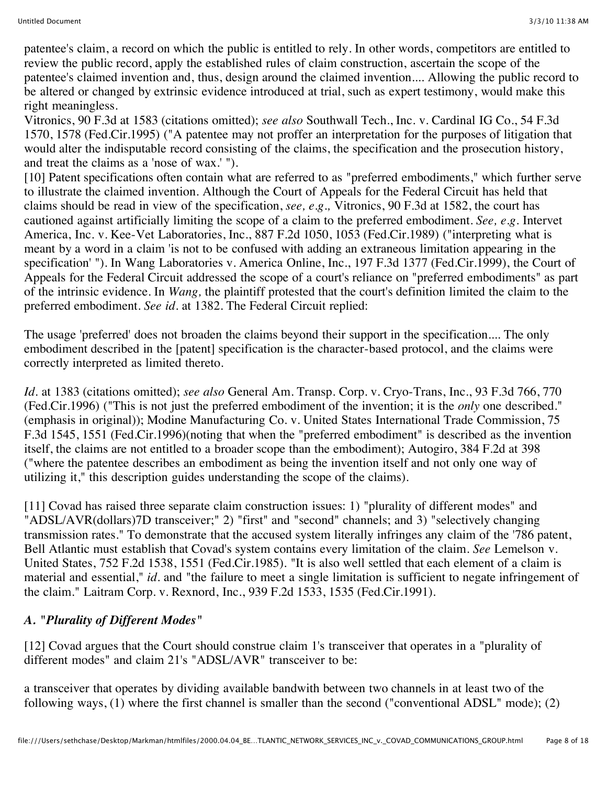patentee's claim, a record on which the public is entitled to rely. In other words, competitors are entitled to review the public record, apply the established rules of claim construction, ascertain the scope of the patentee's claimed invention and, thus, design around the claimed invention.... Allowing the public record to be altered or changed by extrinsic evidence introduced at trial, such as expert testimony, would make this right meaningless.

Vitronics, 90 F.3d at 1583 (citations omitted); *see also* Southwall Tech., Inc. v. Cardinal IG Co., 54 F.3d 1570, 1578 (Fed.Cir.1995) ("A patentee may not proffer an interpretation for the purposes of litigation that would alter the indisputable record consisting of the claims, the specification and the prosecution history, and treat the claims as a 'nose of wax.' ").

[10] Patent specifications often contain what are referred to as "preferred embodiments," which further serve to illustrate the claimed invention. Although the Court of Appeals for the Federal Circuit has held that claims should be read in view of the specification, *see, e.g.,* Vitronics, 90 F.3d at 1582, the court has cautioned against artificially limiting the scope of a claim to the preferred embodiment. *See, e.g.* Intervet America, Inc. v. Kee-Vet Laboratories, Inc., 887 F.2d 1050, 1053 (Fed.Cir.1989) ("interpreting what is meant by a word in a claim 'is not to be confused with adding an extraneous limitation appearing in the specification' "). In Wang Laboratories v. America Online, Inc., 197 F.3d 1377 (Fed.Cir.1999), the Court of Appeals for the Federal Circuit addressed the scope of a court's reliance on "preferred embodiments" as part of the intrinsic evidence. In *Wang,* the plaintiff protested that the court's definition limited the claim to the preferred embodiment. *See id.* at 1382. The Federal Circuit replied:

The usage 'preferred' does not broaden the claims beyond their support in the specification.... The only embodiment described in the [patent] specification is the character-based protocol, and the claims were correctly interpreted as limited thereto.

*Id.* at 1383 (citations omitted); *see also* General Am. Transp. Corp. v. Cryo-Trans, Inc., 93 F.3d 766, 770 (Fed.Cir.1996) ("This is not just the preferred embodiment of the invention; it is the *only* one described." (emphasis in original)); Modine Manufacturing Co. v. United States International Trade Commission, 75 F.3d 1545, 1551 (Fed.Cir.1996)(noting that when the "preferred embodiment" is described as the invention itself, the claims are not entitled to a broader scope than the embodiment); Autogiro, 384 F.2d at 398 ("where the patentee describes an embodiment as being the invention itself and not only one way of utilizing it," this description guides understanding the scope of the claims).

[11] Covad has raised three separate claim construction issues: 1) "plurality of different modes" and "ADSL/AVR(dollars)7D transceiver;" 2) "first" and "second" channels; and 3) "selectively changing transmission rates." To demonstrate that the accused system literally infringes any claim of the '786 patent, Bell Atlantic must establish that Covad's system contains every limitation of the claim. *See* Lemelson v. United States, 752 F.2d 1538, 1551 (Fed.Cir.1985). "It is also well settled that each element of a claim is material and essential," *id.* and "the failure to meet a single limitation is sufficient to negate infringement of the claim." Laitram Corp. v. Rexnord, Inc., 939 F.2d 1533, 1535 (Fed.Cir.1991).

# *A. "Plurality of Different Modes"*

[12] Covad argues that the Court should construe claim 1's transceiver that operates in a "plurality of different modes" and claim 21's "ADSL/AVR" transceiver to be:

a transceiver that operates by dividing available bandwith between two channels in at least two of the following ways, (1) where the first channel is smaller than the second ("conventional ADSL" mode); (2)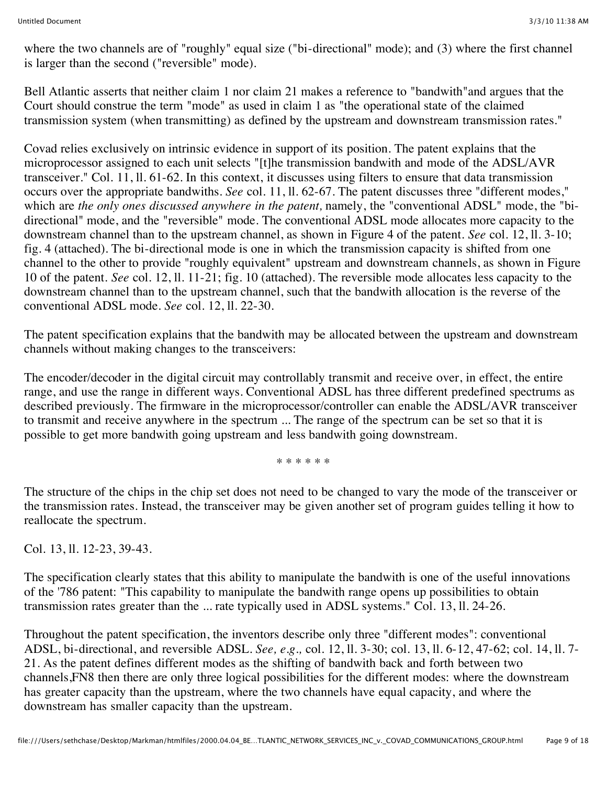where the two channels are of "roughly" equal size ("bi-directional" mode); and (3) where the first channel is larger than the second ("reversible" mode).

Bell Atlantic asserts that neither claim 1 nor claim 21 makes a reference to "bandwith"and argues that the Court should construe the term "mode" as used in claim 1 as "the operational state of the claimed transmission system (when transmitting) as defined by the upstream and downstream transmission rates."

Covad relies exclusively on intrinsic evidence in support of its position. The patent explains that the microprocessor assigned to each unit selects "[t]he transmission bandwith and mode of the ADSL/AVR transceiver." Col. 11, ll. 61-62. In this context, it discusses using filters to ensure that data transmission occurs over the appropriate bandwiths. *See* col. 11, ll. 62-67. The patent discusses three "different modes," which are *the only ones discussed anywhere in the patent,* namely, the "conventional ADSL" mode, the "bidirectional" mode, and the "reversible" mode. The conventional ADSL mode allocates more capacity to the downstream channel than to the upstream channel, as shown in Figure 4 of the patent. *See* col. 12, ll. 3-10; fig. 4 (attached). The bi-directional mode is one in which the transmission capacity is shifted from one channel to the other to provide "roughly equivalent" upstream and downstream channels, as shown in Figure 10 of the patent. *See* col. 12, ll. 11-21; fig. 10 (attached). The reversible mode allocates less capacity to the downstream channel than to the upstream channel, such that the bandwith allocation is the reverse of the conventional ADSL mode. *See* col. 12, ll. 22-30.

The patent specification explains that the bandwith may be allocated between the upstream and downstream channels without making changes to the transceivers:

The encoder/decoder in the digital circuit may controllably transmit and receive over, in effect, the entire range, and use the range in different ways. Conventional ADSL has three different predefined spectrums as described previously. The firmware in the microprocessor/controller can enable the ADSL/AVR transceiver to transmit and receive anywhere in the spectrum ... The range of the spectrum can be set so that it is possible to get more bandwith going upstream and less bandwith going downstream.

\* \* \* \* \* \*

The structure of the chips in the chip set does not need to be changed to vary the mode of the transceiver or the transmission rates. Instead, the transceiver may be given another set of program guides telling it how to reallocate the spectrum.

Col. 13, ll. 12-23, 39-43.

The specification clearly states that this ability to manipulate the bandwith is one of the useful innovations of the '786 patent: "This capability to manipulate the bandwith range opens up possibilities to obtain transmission rates greater than the ... rate typically used in ADSL systems." Col. 13, ll. 24-26.

Throughout the patent specification, the inventors describe only three "different modes": conventional ADSL, bi-directional, and reversible ADSL. *See, e.g.,* col. 12, ll. 3-30; col. 13, ll. 6-12, 47-62; col. 14, ll. 7- 21. As the patent defines different modes as the shifting of bandwith back and forth between two channels,FN8 then there are only three logical possibilities for the different modes: where the downstream has greater capacity than the upstream, where the two channels have equal capacity, and where the downstream has smaller capacity than the upstream.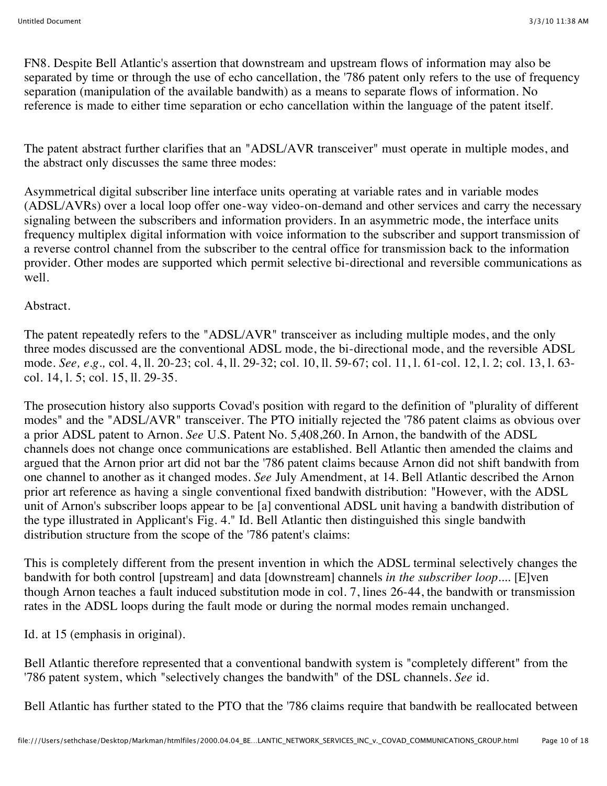FN8. Despite Bell Atlantic's assertion that downstream and upstream flows of information may also be separated by time or through the use of echo cancellation, the '786 patent only refers to the use of frequency separation (manipulation of the available bandwith) as a means to separate flows of information. No reference is made to either time separation or echo cancellation within the language of the patent itself.

The patent abstract further clarifies that an "ADSL/AVR transceiver" must operate in multiple modes, and the abstract only discusses the same three modes:

Asymmetrical digital subscriber line interface units operating at variable rates and in variable modes (ADSL/AVRs) over a local loop offer one-way video-on-demand and other services and carry the necessary signaling between the subscribers and information providers. In an asymmetric mode, the interface units frequency multiplex digital information with voice information to the subscriber and support transmission of a reverse control channel from the subscriber to the central office for transmission back to the information provider. Other modes are supported which permit selective bi-directional and reversible communications as well.

# Abstract.

The patent repeatedly refers to the "ADSL/AVR" transceiver as including multiple modes, and the only three modes discussed are the conventional ADSL mode, the bi-directional mode, and the reversible ADSL mode. *See, e.g.,* col. 4, ll. 20-23; col. 4, ll. 29-32; col. 10, ll. 59-67; col. 11, l. 61-col. 12, l. 2; col. 13, l. 63 col. 14, l. 5; col. 15, ll. 29-35.

The prosecution history also supports Covad's position with regard to the definition of "plurality of different modes" and the "ADSL/AVR" transceiver. The PTO initially rejected the '786 patent claims as obvious over a prior ADSL patent to Arnon. *See* U.S. Patent No. 5,408,260. In Arnon, the bandwith of the ADSL channels does not change once communications are established. Bell Atlantic then amended the claims and argued that the Arnon prior art did not bar the '786 patent claims because Arnon did not shift bandwith from one channel to another as it changed modes. *See* July Amendment, at 14. Bell Atlantic described the Arnon prior art reference as having a single conventional fixed bandwith distribution: "However, with the ADSL unit of Arnon's subscriber loops appear to be [a] conventional ADSL unit having a bandwith distribution of the type illustrated in Applicant's Fig. 4." Id. Bell Atlantic then distinguished this single bandwith distribution structure from the scope of the '786 patent's claims:

This is completely different from the present invention in which the ADSL terminal selectively changes the bandwith for both control [upstream] and data [downstream] channels *in the subscriber loop....* [E]ven though Arnon teaches a fault induced substitution mode in col. 7, lines 26-44, the bandwith or transmission rates in the ADSL loops during the fault mode or during the normal modes remain unchanged.

Id. at 15 (emphasis in original).

Bell Atlantic therefore represented that a conventional bandwith system is "completely different" from the '786 patent system, which "selectively changes the bandwith" of the DSL channels. *See* id.

Bell Atlantic has further stated to the PTO that the '786 claims require that bandwith be reallocated between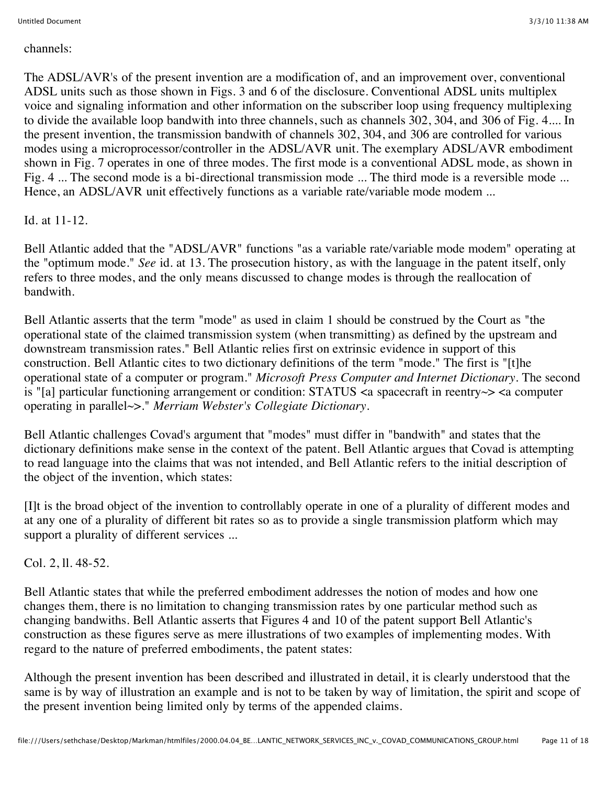#### channels:

The ADSL/AVR's of the present invention are a modification of, and an improvement over, conventional ADSL units such as those shown in Figs. 3 and 6 of the disclosure. Conventional ADSL units multiplex voice and signaling information and other information on the subscriber loop using frequency multiplexing to divide the available loop bandwith into three channels, such as channels 302, 304, and 306 of Fig. 4.... In the present invention, the transmission bandwith of channels 302, 304, and 306 are controlled for various modes using a microprocessor/controller in the ADSL/AVR unit. The exemplary ADSL/AVR embodiment shown in Fig. 7 operates in one of three modes. The first mode is a conventional ADSL mode, as shown in Fig. 4 ... The second mode is a bi-directional transmission mode ... The third mode is a reversible mode ... Hence, an ADSL/AVR unit effectively functions as a variable rate/variable mode modem ...

# Id. at 11-12.

Bell Atlantic added that the "ADSL/AVR" functions "as a variable rate/variable mode modem" operating at the "optimum mode." *See* id. at 13. The prosecution history, as with the language in the patent itself, only refers to three modes, and the only means discussed to change modes is through the reallocation of bandwith.

Bell Atlantic asserts that the term "mode" as used in claim 1 should be construed by the Court as "the operational state of the claimed transmission system (when transmitting) as defined by the upstream and downstream transmission rates." Bell Atlantic relies first on extrinsic evidence in support of this construction. Bell Atlantic cites to two dictionary definitions of the term "mode." The first is "[t]he operational state of a computer or program." *Microsoft Press Computer and Internet Dictionary.* The second is "[a] particular functioning arrangement or condition: STATUS <a spacecraft in reentry~> <a computer operating in parallel~>." *Merriam Webster's Collegiate Dictionary.*

Bell Atlantic challenges Covad's argument that "modes" must differ in "bandwith" and states that the dictionary definitions make sense in the context of the patent. Bell Atlantic argues that Covad is attempting to read language into the claims that was not intended, and Bell Atlantic refers to the initial description of the object of the invention, which states:

[I]t is the broad object of the invention to controllably operate in one of a plurality of different modes and at any one of a plurality of different bit rates so as to provide a single transmission platform which may support a plurality of different services ...

# Col. 2, ll. 48-52.

Bell Atlantic states that while the preferred embodiment addresses the notion of modes and how one changes them, there is no limitation to changing transmission rates by one particular method such as changing bandwiths. Bell Atlantic asserts that Figures 4 and 10 of the patent support Bell Atlantic's construction as these figures serve as mere illustrations of two examples of implementing modes. With regard to the nature of preferred embodiments, the patent states:

Although the present invention has been described and illustrated in detail, it is clearly understood that the same is by way of illustration an example and is not to be taken by way of limitation, the spirit and scope of the present invention being limited only by terms of the appended claims.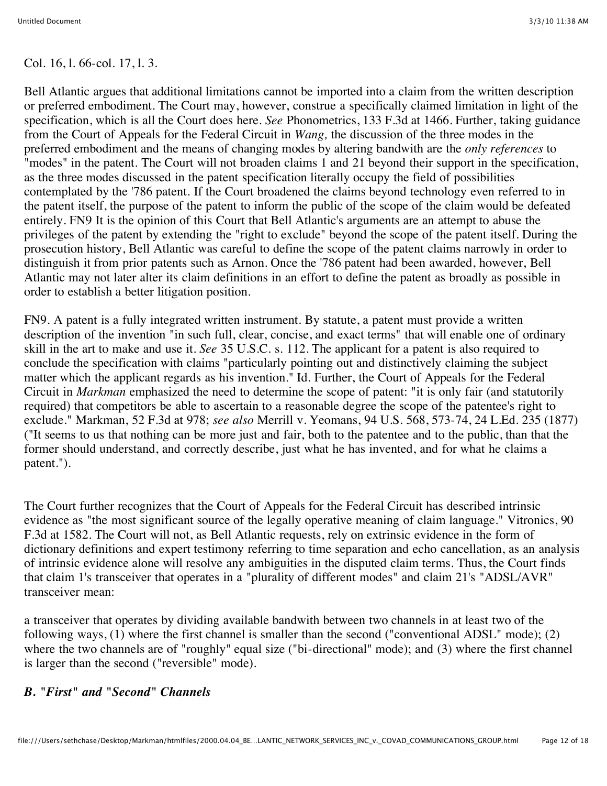Col. 16, l. 66-col. 17, l. 3.

Bell Atlantic argues that additional limitations cannot be imported into a claim from the written description or preferred embodiment. The Court may, however, construe a specifically claimed limitation in light of the specification, which is all the Court does here. *See* Phonometrics, 133 F.3d at 1466. Further, taking guidance from the Court of Appeals for the Federal Circuit in *Wang,* the discussion of the three modes in the preferred embodiment and the means of changing modes by altering bandwith are the *only references* to "modes" in the patent. The Court will not broaden claims 1 and 21 beyond their support in the specification, as the three modes discussed in the patent specification literally occupy the field of possibilities contemplated by the '786 patent. If the Court broadened the claims beyond technology even referred to in the patent itself, the purpose of the patent to inform the public of the scope of the claim would be defeated entirely. FN9 It is the opinion of this Court that Bell Atlantic's arguments are an attempt to abuse the privileges of the patent by extending the "right to exclude" beyond the scope of the patent itself. During the prosecution history, Bell Atlantic was careful to define the scope of the patent claims narrowly in order to distinguish it from prior patents such as Arnon. Once the '786 patent had been awarded, however, Bell Atlantic may not later alter its claim definitions in an effort to define the patent as broadly as possible in order to establish a better litigation position.

FN9. A patent is a fully integrated written instrument. By statute, a patent must provide a written description of the invention "in such full, clear, concise, and exact terms" that will enable one of ordinary skill in the art to make and use it. *See* 35 U.S.C. s. 112. The applicant for a patent is also required to conclude the specification with claims "particularly pointing out and distinctively claiming the subject matter which the applicant regards as his invention." Id. Further, the Court of Appeals for the Federal Circuit in *Markman* emphasized the need to determine the scope of patent: "it is only fair (and statutorily required) that competitors be able to ascertain to a reasonable degree the scope of the patentee's right to exclude." Markman, 52 F.3d at 978; *see also* Merrill v. Yeomans, 94 U.S. 568, 573-74, 24 L.Ed. 235 (1877) ("It seems to us that nothing can be more just and fair, both to the patentee and to the public, than that the former should understand, and correctly describe, just what he has invented, and for what he claims a patent.").

The Court further recognizes that the Court of Appeals for the Federal Circuit has described intrinsic evidence as "the most significant source of the legally operative meaning of claim language." Vitronics, 90 F.3d at 1582. The Court will not, as Bell Atlantic requests, rely on extrinsic evidence in the form of dictionary definitions and expert testimony referring to time separation and echo cancellation, as an analysis of intrinsic evidence alone will resolve any ambiguities in the disputed claim terms. Thus, the Court finds that claim 1's transceiver that operates in a "plurality of different modes" and claim 21's "ADSL/AVR" transceiver mean:

a transceiver that operates by dividing available bandwith between two channels in at least two of the following ways, (1) where the first channel is smaller than the second ("conventional ADSL" mode); (2) where the two channels are of "roughly" equal size ("bi-directional" mode); and (3) where the first channel is larger than the second ("reversible" mode).

# *B. "First" and "Second" Channels*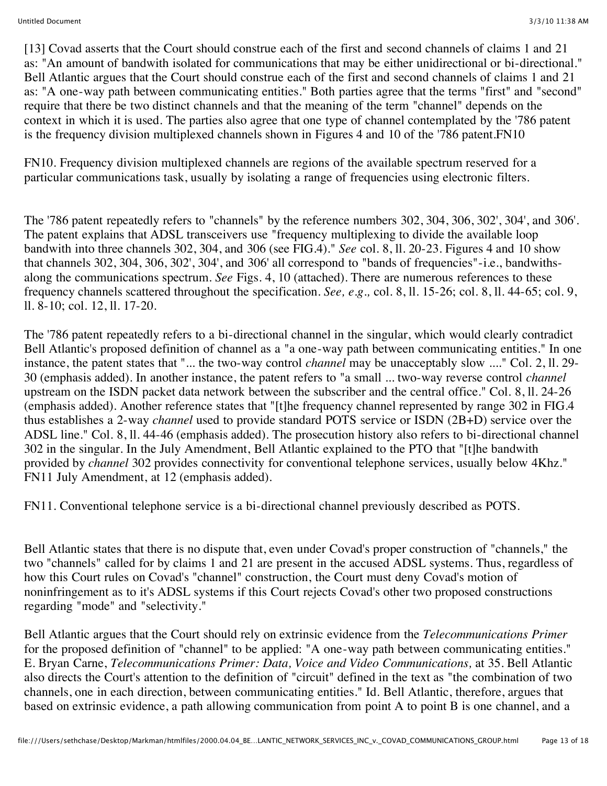[13] Covad asserts that the Court should construe each of the first and second channels of claims 1 and 21 as: "An amount of bandwith isolated for communications that may be either unidirectional or bi-directional." Bell Atlantic argues that the Court should construe each of the first and second channels of claims 1 and 21 as: "A one-way path between communicating entities." Both parties agree that the terms "first" and "second" require that there be two distinct channels and that the meaning of the term "channel" depends on the context in which it is used. The parties also agree that one type of channel contemplated by the '786 patent is the frequency division multiplexed channels shown in Figures 4 and 10 of the '786 patent.FN10

FN10. Frequency division multiplexed channels are regions of the available spectrum reserved for a particular communications task, usually by isolating a range of frequencies using electronic filters.

The '786 patent repeatedly refers to "channels" by the reference numbers 302, 304, 306, 302', 304', and 306'. The patent explains that ADSL transceivers use "frequency multiplexing to divide the available loop bandwith into three channels 302, 304, and 306 (see FIG.4)." *See* col. 8, ll. 20-23. Figures 4 and 10 show that channels 302, 304, 306, 302', 304', and 306' all correspond to "bands of frequencies"-i.e., bandwithsalong the communications spectrum. *See* Figs. 4, 10 (attached). There are numerous references to these frequency channels scattered throughout the specification. *See, e.g.,* col. 8, ll. 15-26; col. 8, ll. 44-65; col. 9, ll. 8-10; col. 12, ll. 17-20.

The '786 patent repeatedly refers to a bi-directional channel in the singular, which would clearly contradict Bell Atlantic's proposed definition of channel as a "a one-way path between communicating entities." In one instance, the patent states that "... the two-way control *channel* may be unacceptably slow ...." Col. 2, ll. 29- 30 (emphasis added). In another instance, the patent refers to "a small ... two-way reverse control *channel* upstream on the ISDN packet data network between the subscriber and the central office." Col. 8, ll. 24-26 (emphasis added). Another reference states that "[t]he frequency channel represented by range 302 in FIG.4 thus establishes a 2-way *channel* used to provide standard POTS service or ISDN (2B+D) service over the ADSL line." Col. 8, ll. 44-46 (emphasis added). The prosecution history also refers to bi-directional channel 302 in the singular. In the July Amendment, Bell Atlantic explained to the PTO that "[t]he bandwith provided by *channel* 302 provides connectivity for conventional telephone services, usually below 4Khz." FN11 July Amendment, at 12 (emphasis added).

FN11. Conventional telephone service is a bi-directional channel previously described as POTS.

Bell Atlantic states that there is no dispute that, even under Covad's proper construction of "channels," the two "channels" called for by claims 1 and 21 are present in the accused ADSL systems. Thus, regardless of how this Court rules on Covad's "channel" construction, the Court must deny Covad's motion of noninfringement as to it's ADSL systems if this Court rejects Covad's other two proposed constructions regarding "mode" and "selectivity."

Bell Atlantic argues that the Court should rely on extrinsic evidence from the *Telecommunications Primer* for the proposed definition of "channel" to be applied: "A one-way path between communicating entities." E. Bryan Carne, *Telecommunications Primer: Data, Voice and Video Communications,* at 35. Bell Atlantic also directs the Court's attention to the definition of "circuit" defined in the text as "the combination of two channels, one in each direction, between communicating entities." Id. Bell Atlantic, therefore, argues that based on extrinsic evidence, a path allowing communication from point A to point B is one channel, and a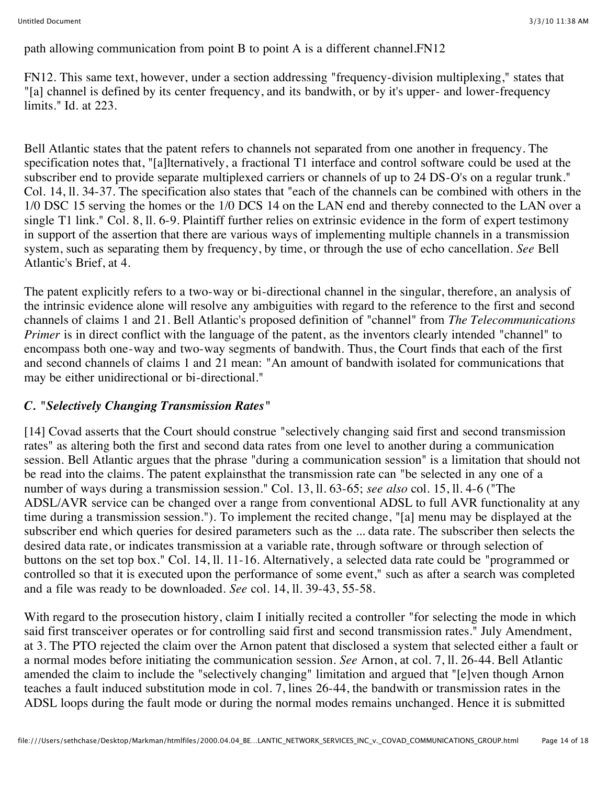path allowing communication from point B to point A is a different channel.FN12

FN12. This same text, however, under a section addressing "frequency-division multiplexing," states that "[a] channel is defined by its center frequency, and its bandwith, or by it's upper- and lower-frequency limits." Id. at 223.

Bell Atlantic states that the patent refers to channels not separated from one another in frequency. The specification notes that, "[a]lternatively, a fractional T1 interface and control software could be used at the subscriber end to provide separate multiplexed carriers or channels of up to 24 DS-O's on a regular trunk." Col. 14, ll. 34-37. The specification also states that "each of the channels can be combined with others in the 1/0 DSC 15 serving the homes or the 1/0 DCS 14 on the LAN end and thereby connected to the LAN over a single T1 link." Col. 8, ll. 6-9. Plaintiff further relies on extrinsic evidence in the form of expert testimony in support of the assertion that there are various ways of implementing multiple channels in a transmission system, such as separating them by frequency, by time, or through the use of echo cancellation. *See* Bell Atlantic's Brief, at 4.

The patent explicitly refers to a two-way or bi-directional channel in the singular, therefore, an analysis of the intrinsic evidence alone will resolve any ambiguities with regard to the reference to the first and second channels of claims 1 and 21. Bell Atlantic's proposed definition of "channel" from *The Telecommunications Primer* is in direct conflict with the language of the patent, as the inventors clearly intended "channel" to encompass both one-way and two-way segments of bandwith. Thus, the Court finds that each of the first and second channels of claims 1 and 21 mean: "An amount of bandwith isolated for communications that may be either unidirectional or bi-directional."

# *C. "Selectively Changing Transmission Rates"*

[14] Covad asserts that the Court should construe "selectively changing said first and second transmission rates" as altering both the first and second data rates from one level to another during a communication session. Bell Atlantic argues that the phrase "during a communication session" is a limitation that should not be read into the claims. The patent explainsthat the transmission rate can "be selected in any one of a number of ways during a transmission session." Col. 13, ll. 63-65; *see also* col. 15, ll. 4-6 ("The ADSL/AVR service can be changed over a range from conventional ADSL to full AVR functionality at any time during a transmission session."). To implement the recited change, "[a] menu may be displayed at the subscriber end which queries for desired parameters such as the ... data rate. The subscriber then selects the desired data rate, or indicates transmission at a variable rate, through software or through selection of buttons on the set top box." Col. 14, ll. 11-16. Alternatively, a selected data rate could be "programmed or controlled so that it is executed upon the performance of some event," such as after a search was completed and a file was ready to be downloaded. *See* col. 14, ll. 39-43, 55-58.

With regard to the prosecution history, claim I initially recited a controller "for selecting the mode in which said first transceiver operates or for controlling said first and second transmission rates." July Amendment, at 3. The PTO rejected the claim over the Arnon patent that disclosed a system that selected either a fault or a normal modes before initiating the communication session. *See* Arnon, at col. 7, ll. 26-44. Bell Atlantic amended the claim to include the "selectively changing" limitation and argued that "[e]ven though Arnon teaches a fault induced substitution mode in col. 7, lines 26-44, the bandwith or transmission rates in the ADSL loops during the fault mode or during the normal modes remains unchanged. Hence it is submitted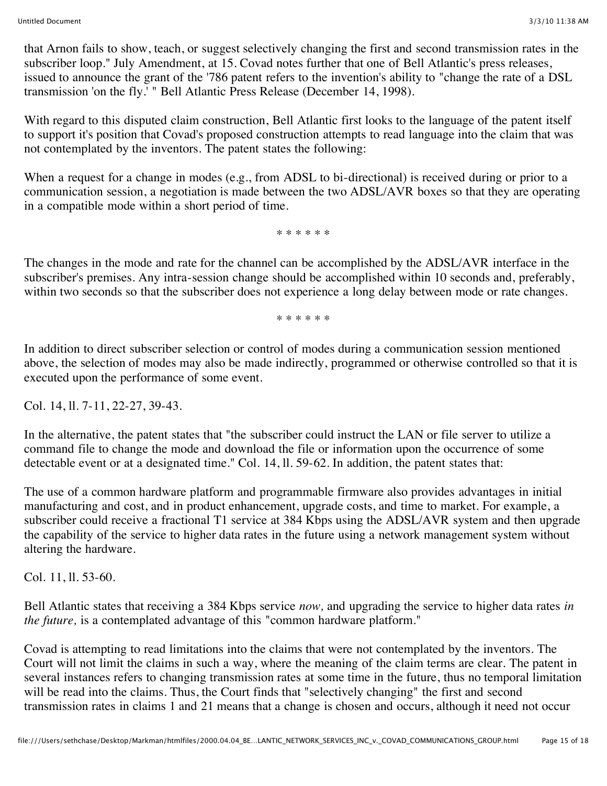that Arnon fails to show, teach, or suggest selectively changing the first and second transmission rates in the subscriber loop." July Amendment, at 15. Covad notes further that one of Bell Atlantic's press releases, issued to announce the grant of the '786 patent refers to the invention's ability to "change the rate of a DSL transmission 'on the fly.' " Bell Atlantic Press Release (December 14, 1998).

With regard to this disputed claim construction, Bell Atlantic first looks to the language of the patent itself to support it's position that Covad's proposed construction attempts to read language into the claim that was not contemplated by the inventors. The patent states the following:

When a request for a change in modes (e.g., from ADSL to bi-directional) is received during or prior to a communication session, a negotiation is made between the two ADSL/AVR boxes so that they are operating in a compatible mode within a short period of time.

\* \* \* \* \* \*

The changes in the mode and rate for the channel can be accomplished by the ADSL/AVR interface in the subscriber's premises. Any intra-session change should be accomplished within 10 seconds and, preferably, within two seconds so that the subscriber does not experience a long delay between mode or rate changes.

\* \* \* \* \* \*

In addition to direct subscriber selection or control of modes during a communication session mentioned above, the selection of modes may also be made indirectly, programmed or otherwise controlled so that it is executed upon the performance of some event.

Col. 14, ll. 7-11, 22-27, 39-43.

In the alternative, the patent states that "the subscriber could instruct the LAN or file server to utilize a command file to change the mode and download the file or information upon the occurrence of some detectable event or at a designated time." Col. 14, ll. 59-62. In addition, the patent states that:

The use of a common hardware platform and programmable firmware also provides advantages in initial manufacturing and cost, and in product enhancement, upgrade costs, and time to market. For example, a subscriber could receive a fractional T1 service at 384 Kbps using the ADSL/AVR system and then upgrade the capability of the service to higher data rates in the future using a network management system without altering the hardware.

Col. 11, ll. 53-60.

Bell Atlantic states that receiving a 384 Kbps service *now,* and upgrading the service to higher data rates *in the future,* is a contemplated advantage of this "common hardware platform."

Covad is attempting to read limitations into the claims that were not contemplated by the inventors. The Court will not limit the claims in such a way, where the meaning of the claim terms are clear. The patent in several instances refers to changing transmission rates at some time in the future, thus no temporal limitation will be read into the claims. Thus, the Court finds that "selectively changing" the first and second transmission rates in claims 1 and 21 means that a change is chosen and occurs, although it need not occur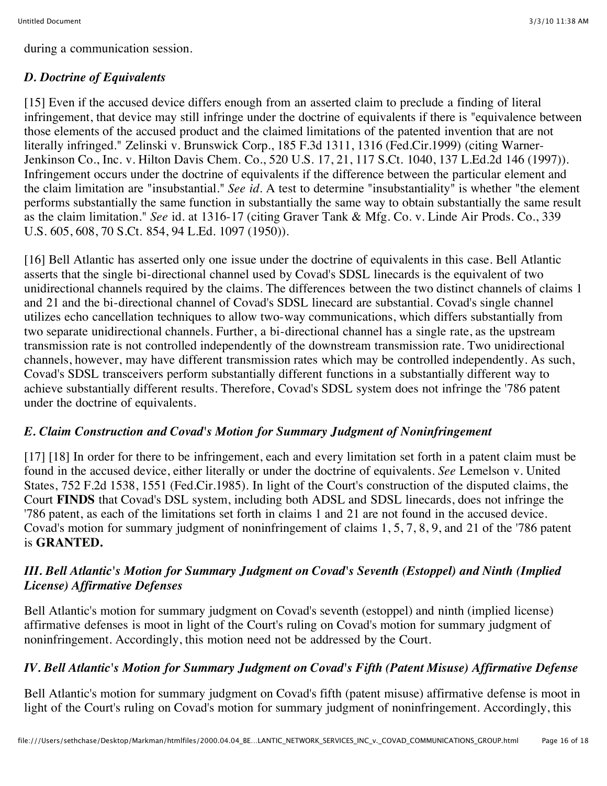during a communication session.

# *D. Doctrine of Equivalents*

[15] Even if the accused device differs enough from an asserted claim to preclude a finding of literal infringement, that device may still infringe under the doctrine of equivalents if there is "equivalence between those elements of the accused product and the claimed limitations of the patented invention that are not literally infringed." Zelinski v. Brunswick Corp., 185 F.3d 1311, 1316 (Fed.Cir.1999) (citing Warner-Jenkinson Co., Inc. v. Hilton Davis Chem. Co., 520 U.S. 17, 21, 117 S.Ct. 1040, 137 L.Ed.2d 146 (1997)). Infringement occurs under the doctrine of equivalents if the difference between the particular element and the claim limitation are "insubstantial." *See id.* A test to determine "insubstantiality" is whether "the element performs substantially the same function in substantially the same way to obtain substantially the same result as the claim limitation." *See* id. at 1316-17 (citing Graver Tank & Mfg. Co. v. Linde Air Prods. Co., 339 U.S. 605, 608, 70 S.Ct. 854, 94 L.Ed. 1097 (1950)).

[16] Bell Atlantic has asserted only one issue under the doctrine of equivalents in this case. Bell Atlantic asserts that the single bi-directional channel used by Covad's SDSL linecards is the equivalent of two unidirectional channels required by the claims. The differences between the two distinct channels of claims 1 and 21 and the bi-directional channel of Covad's SDSL linecard are substantial. Covad's single channel utilizes echo cancellation techniques to allow two-way communications, which differs substantially from two separate unidirectional channels. Further, a bi-directional channel has a single rate, as the upstream transmission rate is not controlled independently of the downstream transmission rate. Two unidirectional channels, however, may have different transmission rates which may be controlled independently. As such, Covad's SDSL transceivers perform substantially different functions in a substantially different way to achieve substantially different results. Therefore, Covad's SDSL system does not infringe the '786 patent under the doctrine of equivalents.

#### *E. Claim Construction and Covad's Motion for Summary Judgment of Noninfringement*

[17] [18] In order for there to be infringement, each and every limitation set forth in a patent claim must be found in the accused device, either literally or under the doctrine of equivalents. *See* Lemelson v. United States, 752 F.2d 1538, 1551 (Fed.Cir.1985). In light of the Court's construction of the disputed claims, the Court **FINDS** that Covad's DSL system, including both ADSL and SDSL linecards, does not infringe the '786 patent, as each of the limitations set forth in claims 1 and 21 are not found in the accused device. Covad's motion for summary judgment of noninfringement of claims 1, 5, 7, 8, 9, and 21 of the '786 patent is **GRANTED.**

# *III. Bell Atlantic's Motion for Summary Judgment on Covad's Seventh (Estoppel) and Ninth (Implied License) Affirmative Defenses*

Bell Atlantic's motion for summary judgment on Covad's seventh (estoppel) and ninth (implied license) affirmative defenses is moot in light of the Court's ruling on Covad's motion for summary judgment of noninfringement. Accordingly, this motion need not be addressed by the Court.

# *IV. Bell Atlantic's Motion for Summary Judgment on Covad's Fifth (Patent Misuse) Affirmative Defense*

Bell Atlantic's motion for summary judgment on Covad's fifth (patent misuse) affirmative defense is moot in light of the Court's ruling on Covad's motion for summary judgment of noninfringement. Accordingly, this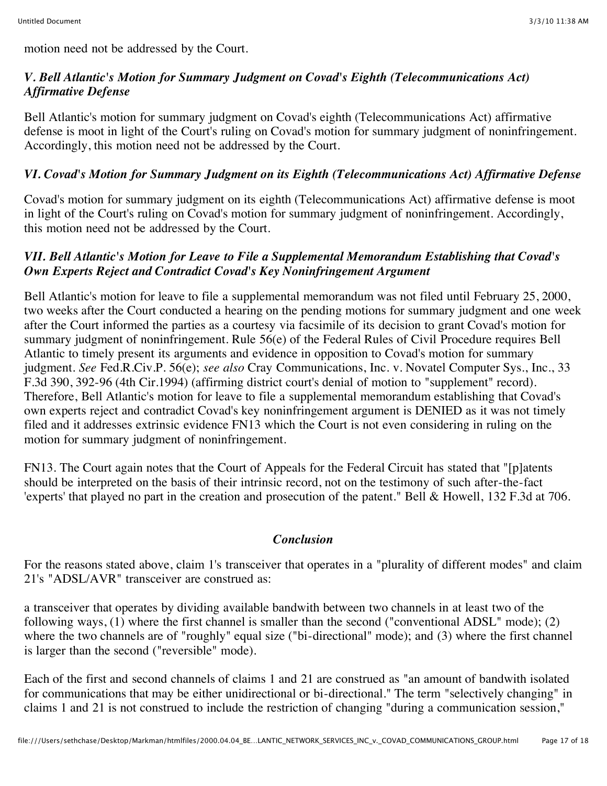motion need not be addressed by the Court.

# *V. Bell Atlantic's Motion for Summary Judgment on Covad's Eighth (Telecommunications Act) Affirmative Defense*

Bell Atlantic's motion for summary judgment on Covad's eighth (Telecommunications Act) affirmative defense is moot in light of the Court's ruling on Covad's motion for summary judgment of noninfringement. Accordingly, this motion need not be addressed by the Court.

# *VI. Covad's Motion for Summary Judgment on its Eighth (Telecommunications Act) Affirmative Defense*

Covad's motion for summary judgment on its eighth (Telecommunications Act) affirmative defense is moot in light of the Court's ruling on Covad's motion for summary judgment of noninfringement. Accordingly, this motion need not be addressed by the Court.

#### *VII. Bell Atlantic's Motion for Leave to File a Supplemental Memorandum Establishing that Covad's Own Experts Reject and Contradict Covad's Key Noninfringement Argument*

Bell Atlantic's motion for leave to file a supplemental memorandum was not filed until February 25, 2000, two weeks after the Court conducted a hearing on the pending motions for summary judgment and one week after the Court informed the parties as a courtesy via facsimile of its decision to grant Covad's motion for summary judgment of noninfringement. Rule 56(e) of the Federal Rules of Civil Procedure requires Bell Atlantic to timely present its arguments and evidence in opposition to Covad's motion for summary judgment. *See* Fed.R.Civ.P. 56(e); *see also* Cray Communications, Inc. v. Novatel Computer Sys., Inc., 33 F.3d 390, 392-96 (4th Cir.1994) (affirming district court's denial of motion to "supplement" record). Therefore, Bell Atlantic's motion for leave to file a supplemental memorandum establishing that Covad's own experts reject and contradict Covad's key noninfringement argument is DENIED as it was not timely filed and it addresses extrinsic evidence FN13 which the Court is not even considering in ruling on the motion for summary judgment of noninfringement.

FN13. The Court again notes that the Court of Appeals for the Federal Circuit has stated that "[p]atents should be interpreted on the basis of their intrinsic record, not on the testimony of such after-the-fact 'experts' that played no part in the creation and prosecution of the patent." Bell & Howell, 132 F.3d at 706.

#### *Conclusion*

For the reasons stated above, claim 1's transceiver that operates in a "plurality of different modes" and claim 21's "ADSL/AVR" transceiver are construed as:

a transceiver that operates by dividing available bandwith between two channels in at least two of the following ways, (1) where the first channel is smaller than the second ("conventional ADSL" mode); (2) where the two channels are of "roughly" equal size ("bi-directional" mode); and (3) where the first channel is larger than the second ("reversible" mode).

Each of the first and second channels of claims 1 and 21 are construed as "an amount of bandwith isolated for communications that may be either unidirectional or bi-directional." The term "selectively changing" in claims 1 and 21 is not construed to include the restriction of changing "during a communication session,"